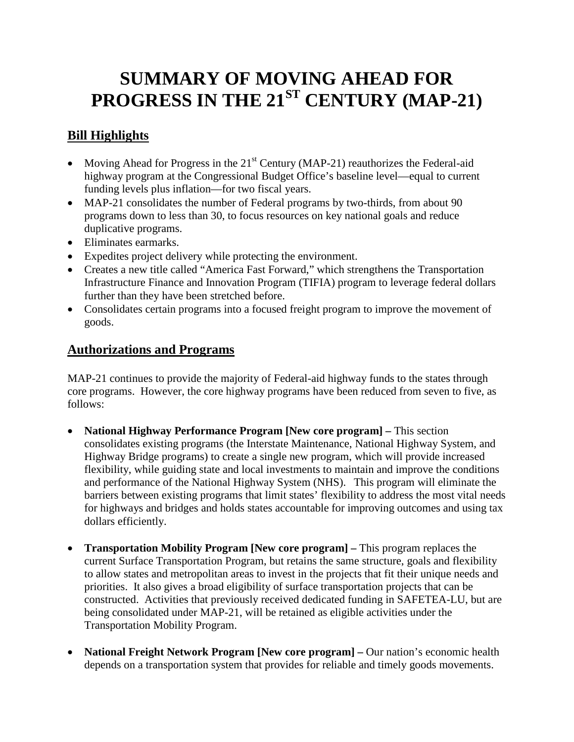# **SUMMARY OF MOVING AHEAD FOR PROGRESS IN THE 21ST CENTURY (MAP-21)**

## **Bill Highlights**

- Moving Ahead for Progress in the  $21<sup>st</sup>$  Century (MAP-21) reauthorizes the Federal-aid highway program at the Congressional Budget Office's baseline level—equal to current funding levels plus inflation—for two fiscal years.
- MAP-21 consolidates the number of Federal programs by two-thirds, from about 90 programs down to less than 30, to focus resources on key national goals and reduce duplicative programs.
- Eliminates earmarks.
- Expedites project delivery while protecting the environment.
- Creates a new title called "America Fast Forward," which strengthens the Transportation Infrastructure Finance and Innovation Program (TIFIA) program to leverage federal dollars further than they have been stretched before.
- Consolidates certain programs into a focused freight program to improve the movement of goods.

### **Authorizations and Programs**

MAP-21 continues to provide the majority of Federal-aid highway funds to the states through core programs. However, the core highway programs have been reduced from seven to five, as follows:

- **National Highway Performance Program [New core program] –** This section consolidates existing programs (the Interstate Maintenance, National Highway System, and Highway Bridge programs) to create a single new program, which will provide increased flexibility, while guiding state and local investments to maintain and improve the conditions and performance of the National Highway System (NHS). This program will eliminate the barriers between existing programs that limit states' flexibility to address the most vital needs for highways and bridges and holds states accountable for improving outcomes and using tax dollars efficiently.
- **Transportation Mobility Program [New core program] –** This program replaces the current Surface Transportation Program, but retains the same structure, goals and flexibility to allow states and metropolitan areas to invest in the projects that fit their unique needs and priorities. It also gives a broad eligibility of surface transportation projects that can be constructed. Activities that previously received dedicated funding in SAFETEA-LU, but are being consolidated under MAP-21, will be retained as eligible activities under the Transportation Mobility Program.
- **National Freight Network Program [New core program] –** Our nation's economic health depends on a transportation system that provides for reliable and timely goods movements.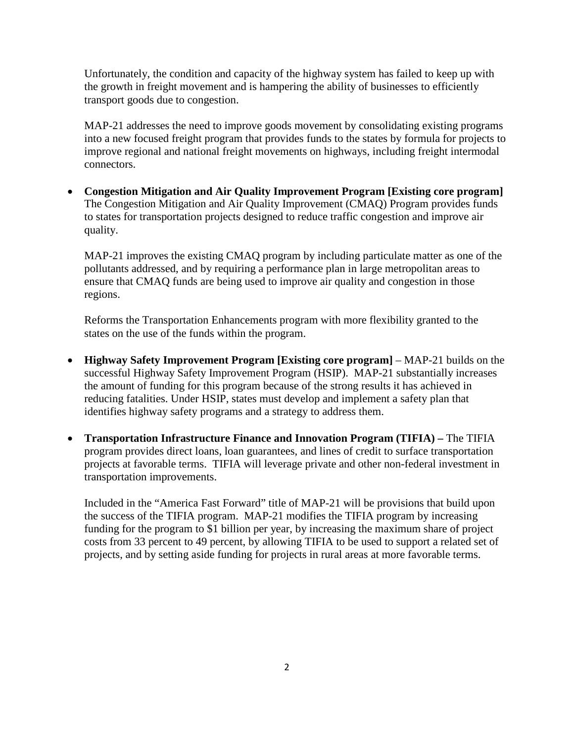Unfortunately, the condition and capacity of the highway system has failed to keep up with the growth in freight movement and is hampering the ability of businesses to efficiently transport goods due to congestion.

MAP-21 addresses the need to improve goods movement by consolidating existing programs into a new focused freight program that provides funds to the states by formula for projects to improve regional and national freight movements on highways, including freight intermodal connectors.

• **Congestion Mitigation and Air Quality Improvement Program [Existing core program]**  The Congestion Mitigation and Air Quality Improvement (CMAQ) Program provides funds to states for transportation projects designed to reduce traffic congestion and improve air quality.

MAP-21 improves the existing CMAQ program by including particulate matter as one of the pollutants addressed, and by requiring a performance plan in large metropolitan areas to ensure that CMAQ funds are being used to improve air quality and congestion in those regions.

Reforms the Transportation Enhancements program with more flexibility granted to the states on the use of the funds within the program.

- **Highway Safety Improvement Program [Existing core program]** MAP-21 builds on the successful Highway Safety Improvement Program (HSIP). MAP-21 substantially increases the amount of funding for this program because of the strong results it has achieved in reducing fatalities. Under HSIP, states must develop and implement a safety plan that identifies highway safety programs and a strategy to address them.
- **Transportation Infrastructure Finance and Innovation Program (TIFIA) –** The TIFIA program provides direct loans, loan guarantees, and lines of credit to surface transportation projects at favorable terms. TIFIA will leverage private and other non-federal investment in transportation improvements.

Included in the "America Fast Forward" title of MAP-21 will be provisions that build upon the success of the TIFIA program. MAP-21 modifies the TIFIA program by increasing funding for the program to \$1 billion per year, by increasing the maximum share of project costs from 33 percent to 49 percent, by allowing TIFIA to be used to support a related set of projects, and by setting aside funding for projects in rural areas at more favorable terms.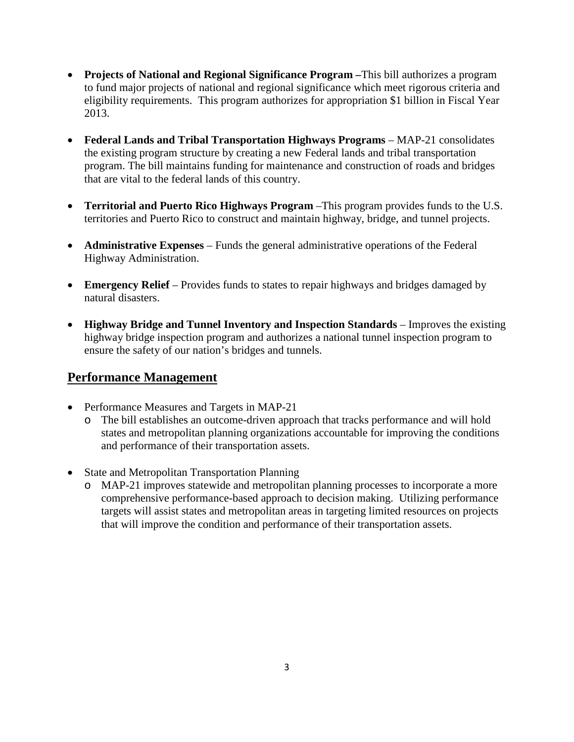- **Projects of National and Regional Significance Program –**This bill authorizes a program to fund major projects of national and regional significance which meet rigorous criteria and eligibility requirements. This program authorizes for appropriation \$1 billion in Fiscal Year 2013.
- **Federal Lands and Tribal Transportation Highways Programs** MAP-21 consolidates the existing program structure by creating a new Federal lands and tribal transportation program. The bill maintains funding for maintenance and construction of roads and bridges that are vital to the federal lands of this country.
- **Territorial and Puerto Rico Highways Program** –This program provides funds to the U.S. territories and Puerto Rico to construct and maintain highway, bridge, and tunnel projects.
- **Administrative Expenses** Funds the general administrative operations of the Federal Highway Administration.
- **Emergency Relief** Provides funds to states to repair highways and bridges damaged by natural disasters.
- **Highway Bridge and Tunnel Inventory and Inspection Standards** Improves the existing highway bridge inspection program and authorizes a national tunnel inspection program to ensure the safety of our nation's bridges and tunnels.

#### **Performance Management**

- Performance Measures and Targets in MAP-21
	- o The bill establishes an outcome-driven approach that tracks performance and will hold states and metropolitan planning organizations accountable for improving the conditions and performance of their transportation assets.
- State and Metropolitan Transportation Planning
	- o MAP-21 improves statewide and metropolitan planning processes to incorporate a more comprehensive performance-based approach to decision making. Utilizing performance targets will assist states and metropolitan areas in targeting limited resources on projects that will improve the condition and performance of their transportation assets.